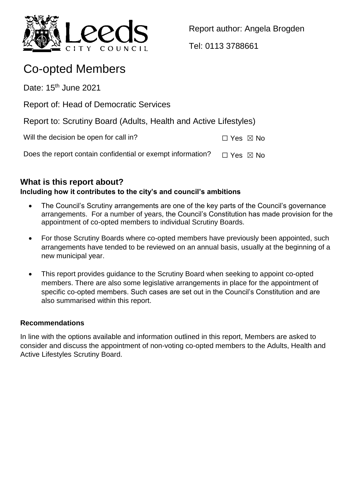

Report author: Angela Brogden

Tel: 0113 3788661

# Co-opted Members

Date:  $15<sup>th</sup>$  June 2021

Report of: Head of Democratic Services

Report to: Scrutiny Board (Adults, Health and Active Lifestyles)

Will the decision be open for call in?  $\square$  Yes  $\square$  No

Does the report contain confidential or exempt information?  $\Box$  Yes  $\boxtimes$  No

# **What is this report about?**

# **Including how it contributes to the city's and council's ambitions**

- The Council's Scrutiny arrangements are one of the key parts of the Council's governance arrangements. For a number of years, the Council's Constitution has made provision for the appointment of co-opted members to individual Scrutiny Boards.
- For those Scrutiny Boards where co-opted members have previously been appointed, such arrangements have tended to be reviewed on an annual basis, usually at the beginning of a new municipal year.
- This report provides guidance to the Scrutiny Board when seeking to appoint co-opted members. There are also some legislative arrangements in place for the appointment of specific co-opted members. Such cases are set out in the Council's Constitution and are also summarised within this report.

## **Recommendations**

In line with the options available and information outlined in this report, Members are asked to consider and discuss the appointment of non-voting co-opted members to the Adults, Health and Active Lifestyles Scrutiny Board.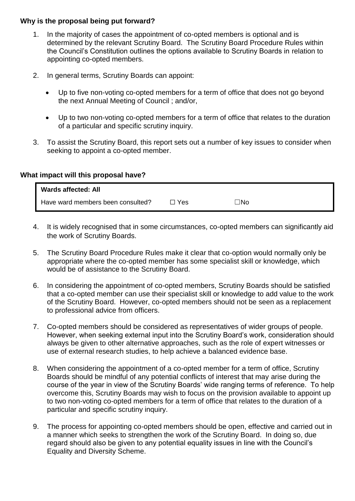#### **Why is the proposal being put forward?**

- 1. In the majority of cases the appointment of co-opted members is optional and is determined by the relevant Scrutiny Board. The Scrutiny Board Procedure Rules within the Council's Constitution outlines the options available to Scrutiny Boards in relation to appointing co-opted members.
- 2. In general terms, Scrutiny Boards can appoint:
	- Up to five non-voting co-opted members for a term of office that does not go beyond the next Annual Meeting of Council ; and/or,
	- Up to two non-voting co-opted members for a term of office that relates to the duration of a particular and specific scrutiny inquiry.
- 3. To assist the Scrutiny Board, this report sets out a number of key issues to consider when seeking to appoint a co-opted member.

#### **What impact will this proposal have?**

| <b>Wards affected: All</b>        |     |     |  |
|-----------------------------------|-----|-----|--|
| Have ward members been consulted? | Yes | ⊓No |  |

- 4. It is widely recognised that in some circumstances, co-opted members can significantly aid the work of Scrutiny Boards.
- 5. The Scrutiny Board Procedure Rules make it clear that co-option would normally only be appropriate where the co-opted member has some specialist skill or knowledge, which would be of assistance to the Scrutiny Board.
- 6. In considering the appointment of co-opted members, Scrutiny Boards should be satisfied that a co-opted member can use their specialist skill or knowledge to add value to the work of the Scrutiny Board. However, co-opted members should not be seen as a replacement to professional advice from officers.
- 7. Co-opted members should be considered as representatives of wider groups of people. However, when seeking external input into the Scrutiny Board's work, consideration should always be given to other alternative approaches, such as the role of expert witnesses or use of external research studies, to help achieve a balanced evidence base.
- 8. When considering the appointment of a co-opted member for a term of office, Scrutiny Boards should be mindful of any potential conflicts of interest that may arise during the course of the year in view of the Scrutiny Boards' wide ranging terms of reference. To help overcome this, Scrutiny Boards may wish to focus on the provision available to appoint up to two non-voting co-opted members for a term of office that relates to the duration of a particular and specific scrutiny inquiry.
- 9. The process for appointing co-opted members should be open, effective and carried out in a manner which seeks to strengthen the work of the Scrutiny Board. In doing so, due regard should also be given to any potential equality issues in line with the Council's Equality and Diversity Scheme.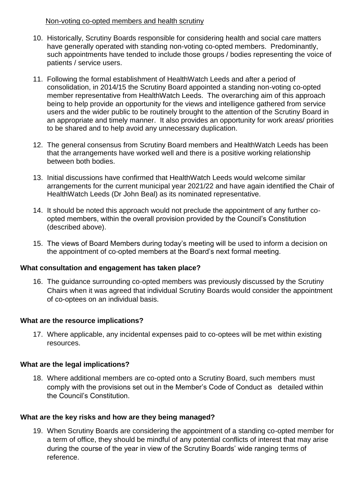#### Non-voting co-opted members and health scrutiny

- 10. Historically, Scrutiny Boards responsible for considering health and social care matters have generally operated with standing non-voting co-opted members. Predominantly, such appointments have tended to include those groups / bodies representing the voice of patients / service users.
- 11. Following the formal establishment of HealthWatch Leeds and after a period of consolidation, in 2014/15 the Scrutiny Board appointed a standing non-voting co-opted member representative from HealthWatch Leeds. The overarching aim of this approach being to help provide an opportunity for the views and intelligence gathered from service users and the wider public to be routinely brought to the attention of the Scrutiny Board in an appropriate and timely manner. It also provides an opportunity for work areas/ priorities to be shared and to help avoid any unnecessary duplication.
- 12. The general consensus from Scrutiny Board members and HealthWatch Leeds has been that the arrangements have worked well and there is a positive working relationship between both bodies.
- 13. Initial discussions have confirmed that HealthWatch Leeds would welcome similar arrangements for the current municipal year 2021/22 and have again identified the Chair of HealthWatch Leeds (Dr John Beal) as its nominated representative.
- 14. It should be noted this approach would not preclude the appointment of any further coopted members, within the overall provision provided by the Council's Constitution (described above).
- 15. The views of Board Members during today's meeting will be used to inform a decision on the appointment of co-opted members at the Board's next formal meeting.

## **What consultation and engagement has taken place?**

16. The guidance surrounding co-opted members was previously discussed by the Scrutiny Chairs when it was agreed that individual Scrutiny Boards would consider the appointment of co-optees on an individual basis.

## **What are the resource implications?**

17. Where applicable, any incidental expenses paid to co-optees will be met within existing resources.

## **What are the legal implications?**

18. Where additional members are co-opted onto a Scrutiny Board, such members must comply with the provisions set out in the Member's Code of Conduct as detailed within the Council's Constitution.

## **What are the key risks and how are they being managed?**

19. When Scrutiny Boards are considering the appointment of a standing co-opted member for a term of office, they should be mindful of any potential conflicts of interest that may arise during the course of the year in view of the Scrutiny Boards' wide ranging terms of reference.